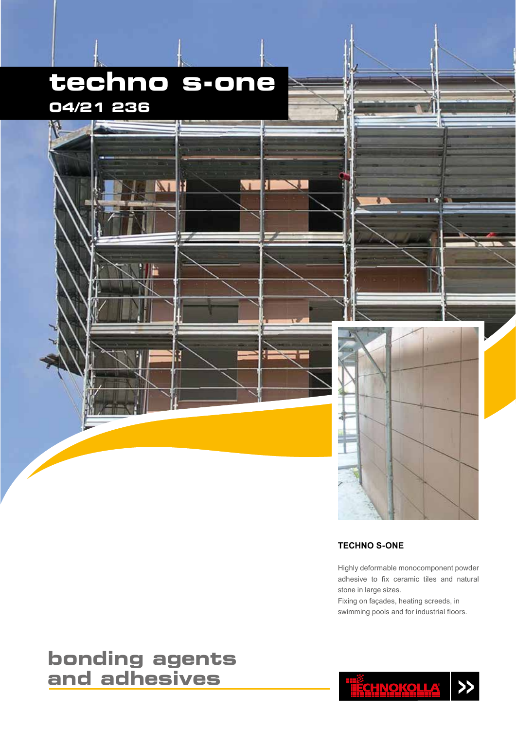# **techno s-one**

 $\overline{\mathbf{M}}$ 

H

π

 $\overline{1}$ 

 $\overline{ }$ 

### **04/21 236**

#### **TECHNO S-ONE**

Highly deformable monocomponent powder adhesive to fix ceramic tiles and natural stone in large sizes.

m

Fixing on façades, heating screeds, in swimming pools and for industrial floors.

## **bonding agents and adhesives**

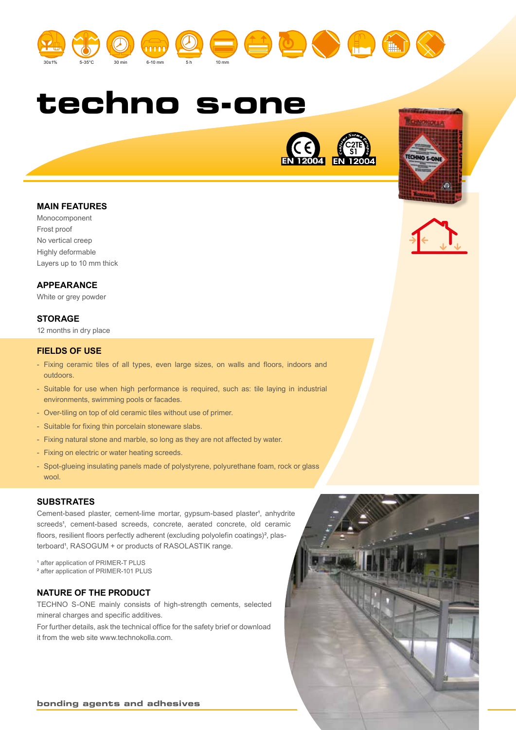





 $\circ$  ( ) ( ) ( )

#### **MAIN FEATURES**

Monocomponent Frost proof No vertical creep Highly deformable Layers up to 10 mm thick

#### **APPEARANCE**

White or grey powder

#### **STORAGE**

12 months in dry place

#### **FIELDS OF USE**

- Fixing ceramic tiles of all types, even large sizes, on walls and floors, indoors and outdoors.
- Suitable for use when high performance is required, such as: tile laying in industrial environments, swimming pools or facades.
- Over-tiling on top of old ceramic tiles without use of primer.
- Suitable for fixing thin porcelain stoneware slabs.
- Fixing natural stone and marble, so long as they are not affected by water.
- Fixing on electric or water heating screeds.
- Spot-glueing insulating panels made of polystyrene, polyurethane foam, rock or glass wool.

#### **SUBSTRATES**

Cement-based plaster, cement-lime mortar, gypsum-based plaster<sup>1</sup>, anhydrite screeds<sup>4</sup>, cement-based screeds, concrete, aerated concrete, old ceramic floors, resilient floors perfectly adherent (excluding polyolefin coatings)², plasterboard<sup>1</sup>, RASOGUM + or products of RASOLASTIK range.

- <sup>1</sup> after application of PRIMER-T PLUS
- ² after application of PRIMER-101 PLUS

#### **NATURE OF THE PRODUCT**

TECHNO S-ONE mainly consists of high-strength cements, selected mineral charges and specific additives.

For further details, ask the technical office for the safety brief or download it from the web site www.technokolla.com.





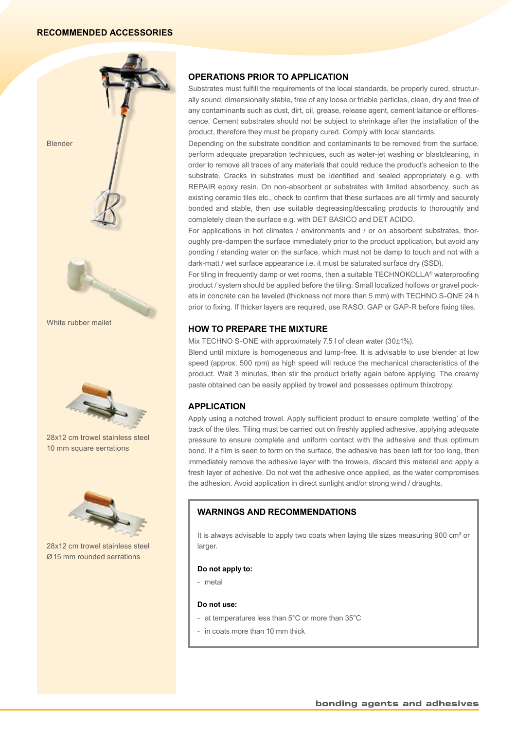#### **RECOMMENDED ACCESSORIES**



#### **OPERATIONS PRIOR TO APPLICATION**

Substrates must fulfill the requirements of the local standards, be properly cured, structurally sound, dimensionally stable, free of any loose or friable particles, clean, dry and free of any contaminants such as dust, dirt, oil, grease, release agent, cement laitance or efflorescence. Cement substrates should not be subject to shrinkage after the installation of the product, therefore they must be properly cured. Comply with local standards.

Depending on the substrate condition and contaminants to be removed from the surface, perform adequate preparation techniques, such as water-jet washing or blastcleaning, in order to remove all traces of any materials that could reduce the product's adhesion to the substrate. Cracks in substrates must be identified and sealed appropriately e.g. with REPAIR epoxy resin. On non-absorbent or substrates with limited absorbency, such as existing ceramic tiles etc., check to confirm that these surfaces are all firmly and securely bonded and stable, then use suitable degreasing/descaling products to thoroughly and completely clean the surface e.g. with DET BASICO and DET ACIDO.

For applications in hot climates / environments and / or on absorbent substrates, thoroughly pre-dampen the surface immediately prior to the product application, but avoid any ponding / standing water on the surface, which must not be damp to touch and not with a dark-matt / wet surface appearance i.e. it must be saturated surface dry (SSD).

For tiling in frequently damp or wet rooms, then a suitable TECHNOKOLLA<sup>®</sup> waterproofing product / system should be applied before the tiling. Small localized hollows or gravel pockets in concrete can be leveled (thickness not more than 5 mm) with TECHNO S-ONE 24 h prior to fixing. If thicker layers are required, use RASO, GAP or GAP-R before fixing tiles.

#### **HOW TO PREPARE THE MIXTURE**

Mix TECHNO S-ONE with approximately 7.5 l of clean water (30±1%).

Blend until mixture is homogeneous and lump-free. It is advisable to use blender at low speed (approx. 500 rpm) as high speed will reduce the mechanical characteristics of the product. Wait 3 minutes, then stir the product briefly again before applying. The creamy paste obtained can be easily applied by trowel and possesses optimum thixotropy.

#### **APPLICATION**

Apply using a notched trowel. Apply sufficient product to ensure complete 'wetting' of the back of the tiles. Tiling must be carried out on freshly applied adhesive, applying adequate pressure to ensure complete and uniform contact with the adhesive and thus optimum bond. If a film is seen to form on the surface, the adhesive has been left for too long, then immediately remove the adhesive layer with the trowels, discard this material and apply a fresh layer of adhesive. Do not wet the adhesive once applied, as the water compromises the adhesion. Avoid application in direct sunlight and/or strong wind / draughts.

#### **WARNINGS AND RECOMMENDATIONS**

It is always advisable to apply two coats when laying tile sizes measuring 900 cm<sup>2</sup> or larger.

#### **Do not apply to:**

- metal

#### **Do not use:**

- at temperatures less than 5°C or more than 35°C
- in coats more than 10 mm thick